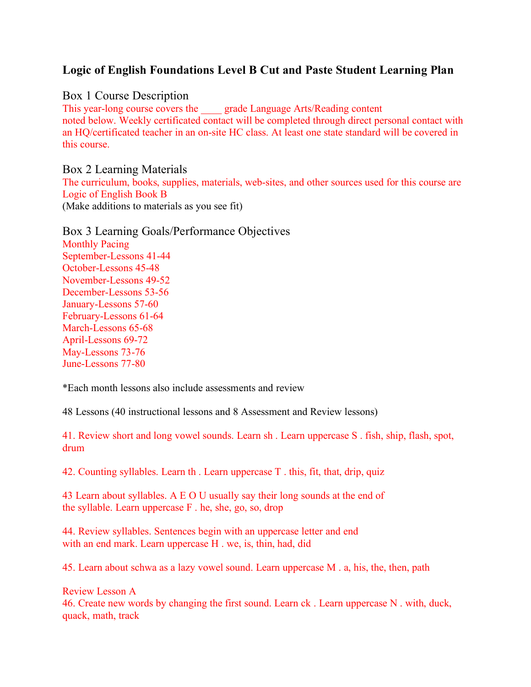# **Logic of English Foundations Level B Cut and Paste Student Learning Plan**

## Box 1 Course Description

This year-long course covers the grade Language Arts/Reading content noted below. Weekly certificated contact will be completed through direct personal contact with an HQ/certificated teacher in an on-site HC class. At least one state standard will be covered in this course.

Box 2 Learning Materials The curriculum, books, supplies, materials, web-sites, and other sources used for this course are Logic of English Book B (Make additions to materials as you see fit)

Box 3 Learning Goals/Performance Objectives Monthly Pacing September-Lessons 41-44 October-Lessons 45-48 November-Lessons 49-52 December-Lessons 53-56 January-Lessons 57-60 February-Lessons 61-64 March-Lessons 65-68 April-Lessons 69-72 May-Lessons 73-76 June-Lessons 77-80

\*Each month lessons also include assessments and review

48 Lessons (40 instructional lessons and 8 Assessment and Review lessons)

41. Review short and long vowel sounds. Learn sh . Learn uppercase S . fish, ship, flash, spot, drum

42. Counting syllables. Learn th . Learn uppercase T . this, fit, that, drip, quiz

43 Learn about syllables. A E O U usually say their long sounds at the end of the syllable. Learn uppercase F . he, she, go, so, drop

44. Review syllables. Sentences begin with an uppercase letter and end with an end mark. Learn uppercase H . we, is, thin, had, did

45. Learn about schwa as a lazy vowel sound. Learn uppercase M . a, his, the, then, path

Review Lesson A 46. Create new words by changing the first sound. Learn ck . Learn uppercase N . with, duck, quack, math, track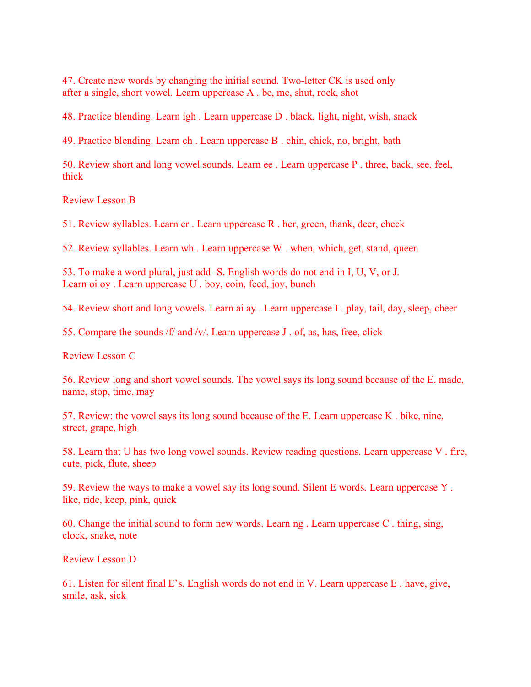47. Create new words by changing the initial sound. Two-letter CK is used only after a single, short vowel. Learn uppercase A . be, me, shut, rock, shot

48. Practice blending. Learn igh . Learn uppercase D . black, light, night, wish, snack

49. Practice blending. Learn ch . Learn uppercase B . chin, chick, no, bright, bath

50. Review short and long vowel sounds. Learn ee . Learn uppercase P . three, back, see, feel, thick

Review Lesson B

51. Review syllables. Learn er . Learn uppercase R . her, green, thank, deer, check

52. Review syllables. Learn wh . Learn uppercase W . when, which, get, stand, queen

53. To make a word plural, just add -S. English words do not end in I, U, V, or J. Learn oi oy . Learn uppercase U . boy, coin, feed, joy, bunch

54. Review short and long vowels. Learn ai ay . Learn uppercase I . play, tail, day, sleep, cheer

55. Compare the sounds /f/ and /v/. Learn uppercase J . of, as, has, free, click

Review Lesson C

56. Review long and short vowel sounds. The vowel says its long sound because of the E. made, name, stop, time, may

57. Review: the vowel says its long sound because of the E. Learn uppercase K . bike, nine, street, grape, high

58. Learn that U has two long vowel sounds. Review reading questions. Learn uppercase V . fire, cute, pick, flute, sheep

59. Review the ways to make a vowel say its long sound. Silent E words. Learn uppercase Y . like, ride, keep, pink, quick

60. Change the initial sound to form new words. Learn ng . Learn uppercase C . thing, sing, clock, snake, note

Review Lesson D

61. Listen for silent final E's. English words do not end in V. Learn uppercase E . have, give, smile, ask, sick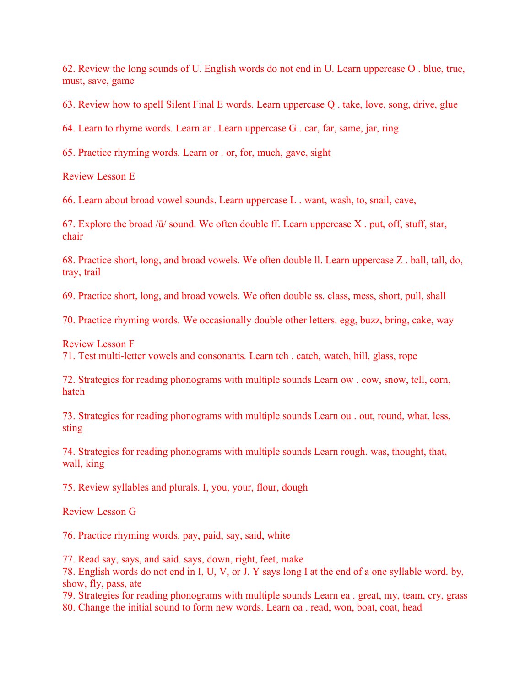62. Review the long sounds of U. English words do not end in U. Learn uppercase O . blue, true, must, save, game

63. Review how to spell Silent Final E words. Learn uppercase Q . take, love, song, drive, glue

64. Learn to rhyme words. Learn ar . Learn uppercase G . car, far, same, jar, ring

65. Practice rhyming words. Learn or . or, for, much, gave, sight

Review Lesson E

66. Learn about broad vowel sounds. Learn uppercase L . want, wash, to, snail, cave,

67. Explore the broad /ü/ sound. We often double ff. Learn uppercase X . put, off, stuff, star, chair

68. Practice short, long, and broad vowels. We often double ll. Learn uppercase Z . ball, tall, do, tray, trail

69. Practice short, long, and broad vowels. We often double ss. class, mess, short, pull, shall

70. Practice rhyming words. We occasionally double other letters. egg, buzz, bring, cake, way

Review Lesson F

71. Test multi-letter vowels and consonants. Learn tch . catch, watch, hill, glass, rope

72. Strategies for reading phonograms with multiple sounds Learn ow . cow, snow, tell, corn, hatch

73. Strategies for reading phonograms with multiple sounds Learn ou . out, round, what, less, sting

74. Strategies for reading phonograms with multiple sounds Learn rough. was, thought, that, wall, king

75. Review syllables and plurals. I, you, your, flour, dough

Review Lesson G

76. Practice rhyming words. pay, paid, say, said, white

77. Read say, says, and said. says, down, right, feet, make

78. English words do not end in I, U, V, or J. Y says long I at the end of a one syllable word. by, show, fly, pass, ate

79. Strategies for reading phonograms with multiple sounds Learn ea . great, my, team, cry, grass 80. Change the initial sound to form new words. Learn oa . read, won, boat, coat, head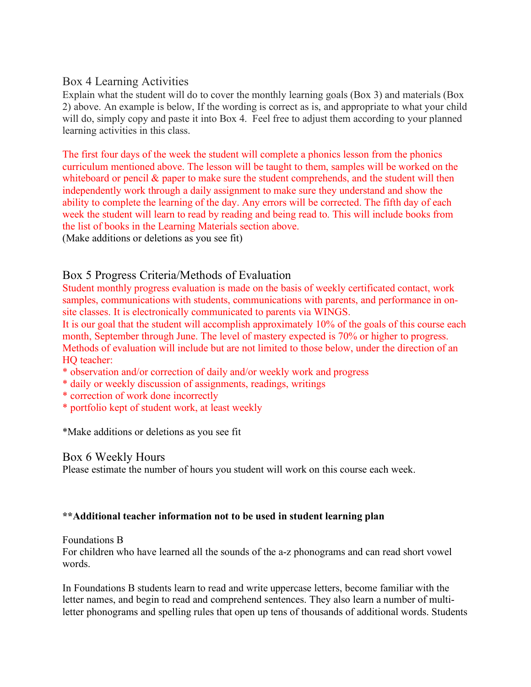### Box 4 Learning Activities

Explain what the student will do to cover the monthly learning goals (Box 3) and materials (Box 2) above. An example is below, If the wording is correct as is, and appropriate to what your child will do, simply copy and paste it into Box 4. Feel free to adjust them according to your planned learning activities in this class.

The first four days of the week the student will complete a phonics lesson from the phonics curriculum mentioned above. The lesson will be taught to them, samples will be worked on the whiteboard or pencil  $\&$  paper to make sure the student comprehends, and the student will then independently work through a daily assignment to make sure they understand and show the ability to complete the learning of the day. Any errors will be corrected. The fifth day of each week the student will learn to read by reading and being read to. This will include books from the list of books in the Learning Materials section above.

(Make additions or deletions as you see fit)

## Box 5 Progress Criteria/Methods of Evaluation

Student monthly progress evaluation is made on the basis of weekly certificated contact, work samples, communications with students, communications with parents, and performance in onsite classes. It is electronically communicated to parents via WINGS.

It is our goal that the student will accomplish approximately 10% of the goals of this course each month, September through June. The level of mastery expected is 70% or higher to progress. Methods of evaluation will include but are not limited to those below, under the direction of an HQ teacher:

- \* observation and/or correction of daily and/or weekly work and progress
- \* daily or weekly discussion of assignments, readings, writings
- \* correction of work done incorrectly
- \* portfolio kept of student work, at least weekly

\*Make additions or deletions as you see fit

#### Box 6 Weekly Hours

Please estimate the number of hours you student will work on this course each week.

#### **\*\*Additional teacher information not to be used in student learning plan**

#### Foundations B

For children who have learned all the sounds of the a-z phonograms and can read short vowel words.

In Foundations B students learn to read and write uppercase letters, become familiar with the letter names, and begin to read and comprehend sentences. They also learn a number of multiletter phonograms and spelling rules that open up tens of thousands of additional words. Students